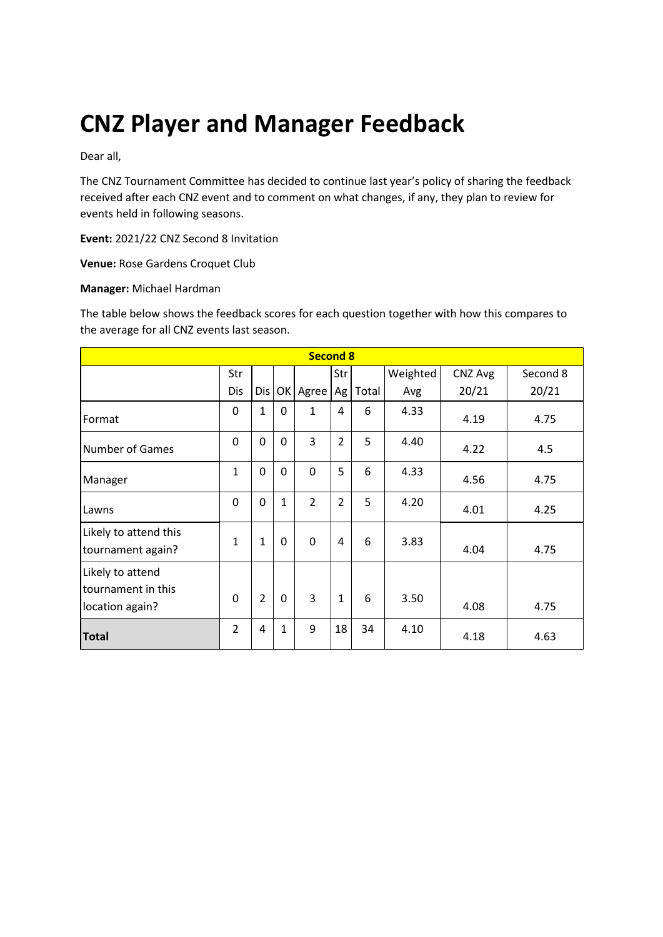# **CNZ Player and Manager Feedback**

Dear all,

The CNZ Tournament Committee has decided to continue last year's policy of sharing the feedback received after each CNZ event and to comment on what changes, if any, they plan to review for events held in following seasons.

**Event:** 2021/22 CNZ Second 8 Invitation

**Venue:** Rose Gardens Croquet Club

#### **Manager:** Michael Hardman

The table below shows the feedback scores for each question together with how this compares to the average for all CNZ events last season.

| <b>Second 8</b>                                           |                |                |              |                |                |       |          |         |          |
|-----------------------------------------------------------|----------------|----------------|--------------|----------------|----------------|-------|----------|---------|----------|
|                                                           | Str            |                |              |                | Str            |       | Weighted | CNZ Avg | Second 8 |
|                                                           | Dis            | Dis            | OK           | Agree          | Ag             | Total | Avg      | 20/21   | 20/21    |
| Format                                                    | 0              | $\mathbf{1}$   | 0            | $\mathbf{1}$   | 4              | 6     | 4.33     | 4.19    | 4.75     |
| <b>Number of Games</b>                                    | 0              | 0              | $\Omega$     | 3              | $\overline{2}$ | 5     | 4.40     | 4.22    | 4.5      |
| Manager                                                   | 1              | 0              | $\mathbf 0$  | 0              | 5              | 6     | 4.33     | 4.56    | 4.75     |
| Lawns                                                     | 0              | 0              | $\mathbf{1}$ | $\overline{2}$ | $\overline{2}$ | 5     | 4.20     | 4.01    | 4.25     |
| Likely to attend this<br>tournament again?                | $\mathbf{1}$   | $\mathbf{1}$   | $\mathbf 0$  | $\mathbf 0$    | 4              | 6     | 3.83     | 4.04    | 4.75     |
| Likely to attend<br>tournament in this<br>location again? | $\Omega$       | $\overline{2}$ | $\mathbf 0$  | 3              | $\mathbf{1}$   | 6     | 3.50     | 4.08    | 4.75     |
| <b>Total</b>                                              | $\overline{2}$ | 4              | 1            | 9              | 18             | 34    | 4.10     | 4.18    | 4.63     |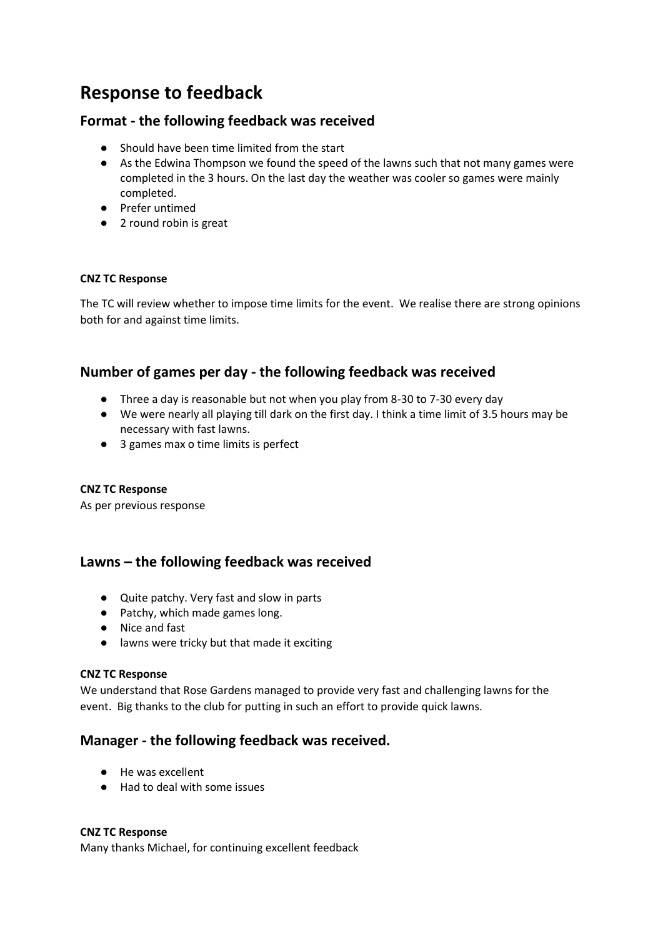# **Response to feedback**

# **Format - the following feedback was received**

- Should have been time limited from the start
- As the Edwina Thompson we found the speed of the lawns such that not many games were completed in the 3 hours. On the last day the weather was cooler so games were mainly completed.
- Prefer untimed
- 2 round robin is great

### **CNZ TC Response**

The TC will review whether to impose time limits for the event. We realise there are strong opinions both for and against time limits.

# **Number of games per day - the following feedback was received**

- Three a day is reasonable but not when you play from 8-30 to 7-30 every day
- We were nearly all playing till dark on the first day. I think a time limit of 3.5 hours may be necessary with fast lawns.
- 3 games max o time limits is perfect

#### **CNZ TC Response**

As per previous response

# **Lawns – the following feedback was received**

- Quite patchy. Very fast and slow in parts
- Patchy, which made games long.
- Nice and fast
- lawns were tricky but that made it exciting

#### **CNZ TC Response**

We understand that Rose Gardens managed to provide very fast and challenging lawns for the event. Big thanks to the club for putting in such an effort to provide quick lawns.

# **Manager - the following feedback was received.**

- He was excellent
- Had to deal with some issues

#### **CNZ TC Response**

Many thanks Michael, for continuing excellent feedback